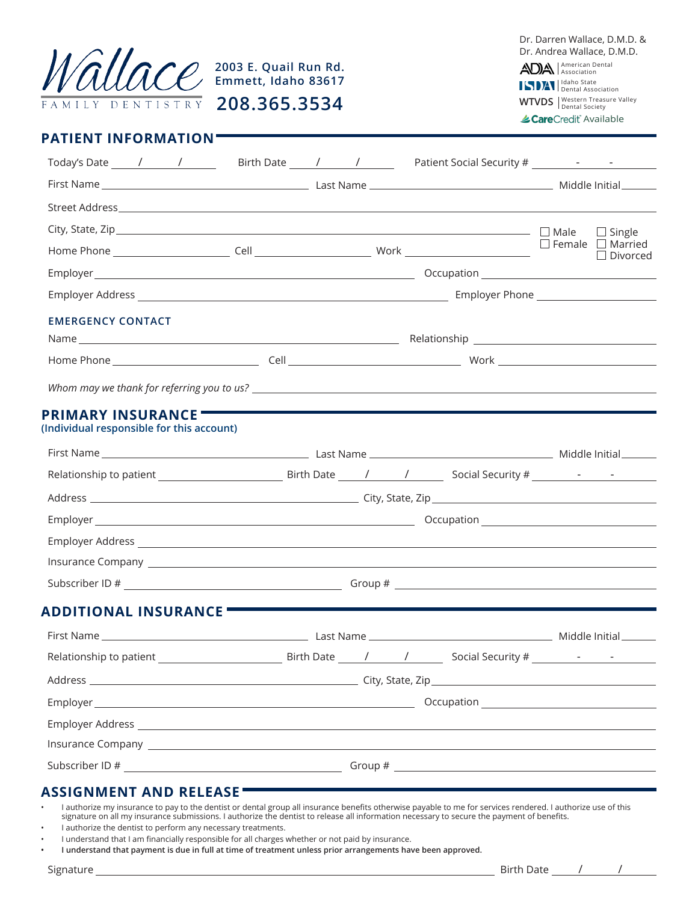

American Dental Association Idaho State Dental Association Dr. Darren Wallace, D.M.D. & Dr. Andrea Wallace, D.M.D.

**WTVDS** | Western Treasure Valley

≰CareCredit Available

| <b>PATIENT INFORMATION</b> |
|----------------------------|
|----------------------------|

| Today's Date 1 1 1 5 Birth Date 1 1 5 Patient Social Security #       |            |  |                 |
|-----------------------------------------------------------------------|------------|--|-----------------|
|                                                                       |            |  |                 |
|                                                                       |            |  |                 |
|                                                                       |            |  | $\Box$ Single   |
|                                                                       |            |  | $\Box$ Divorced |
|                                                                       |            |  |                 |
|                                                                       |            |  |                 |
| <b>EMERGENCY CONTACT</b>                                              |            |  |                 |
|                                                                       |            |  |                 |
|                                                                       |            |  |                 |
|                                                                       |            |  |                 |
| <b>PRIMARY INSURANCE</b><br>(Individual responsible for this account) |            |  |                 |
|                                                                       |            |  |                 |
|                                                                       |            |  |                 |
|                                                                       |            |  |                 |
|                                                                       |            |  |                 |
|                                                                       |            |  |                 |
|                                                                       |            |  |                 |
|                                                                       |            |  |                 |
| ADDITIONAL INSURANCE                                                  |            |  |                 |
|                                                                       |            |  |                 |
| Relationship to patient                                               | Birth Date |  |                 |
|                                                                       |            |  |                 |
|                                                                       |            |  |                 |
|                                                                       |            |  |                 |
|                                                                       |            |  |                 |
|                                                                       |            |  |                 |
| ASSIGNMENT AND RELEASE                                                |            |  |                 |

• I authorize my insurance to pay to the dentist or dental group all insurance benefits otherwise payable to me for services rendered. I authorize use of this signature on all my insurance submissions. I authorize the dentist to release all information necessary to secure the payment of benefits.

- I authorize the dentist to perform any necessary treatments.
- I understand that I am financially responsible for all charges whether or not paid by insurance.
- **• I understand that payment is due in full at time of treatment unless prior arrangements have been approved.**

Signature Birth Date / /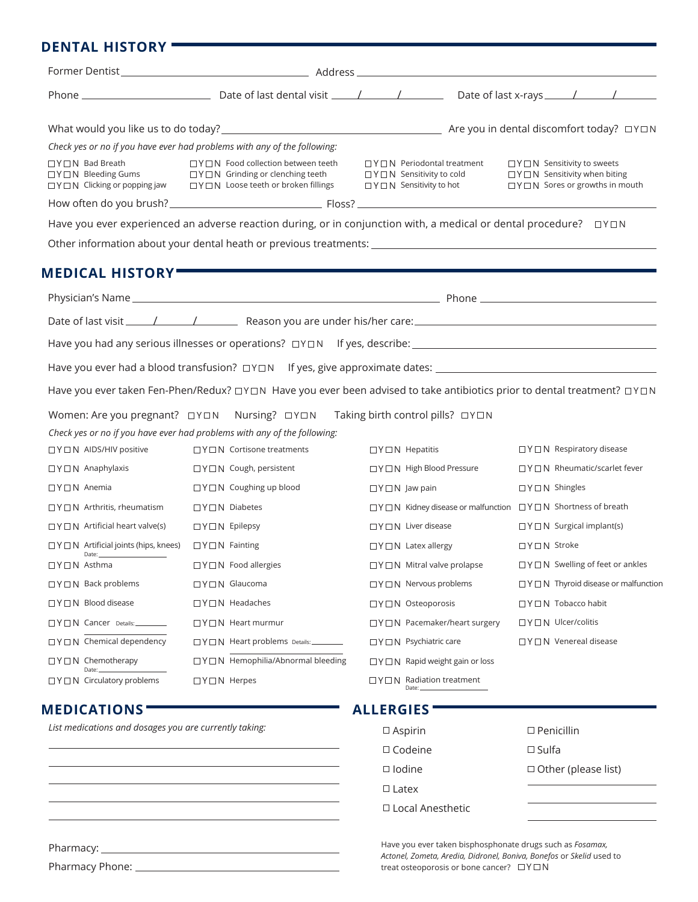## **DENTAL HISTORY**

|                                                                 | Check yes or no if you have ever had problems with any of the following:                                                                                             |                                                                                                                          |                                                                                                                                     |
|-----------------------------------------------------------------|----------------------------------------------------------------------------------------------------------------------------------------------------------------------|--------------------------------------------------------------------------------------------------------------------------|-------------------------------------------------------------------------------------------------------------------------------------|
| $\Box$ Y $\Box$ N Bad Breath<br>$\Box$ Y $\Box$ N Bleeding Gums | $\Box$ Y $\Box$ N Food collection between teeth<br>$\Box$ Y $\Box$ N Grinding or clenching teeth<br>□Y□N Clicking or popping jaw □Y□N Loose teeth or broken fillings | $\Box$ Y $\Box$ N Periodontal treatment<br>$\Box$ Y $\Box$ N Sensitivity to cold<br>$\Box$ Y $\Box$ N Sensitivity to hot | $\Box$ Y $\Box$ N Sensitivity to sweets<br>$\Box$ Y $\Box$ N Sensitivity when biting<br>$\Box$ Y $\Box$ N Sores or growths in mouth |
|                                                                 |                                                                                                                                                                      |                                                                                                                          |                                                                                                                                     |
|                                                                 | Have you ever experienced an adverse reaction during, or in conjunction with, a medical or dental procedure?<br>$\Box Y \Box N$                                      |                                                                                                                          |                                                                                                                                     |
|                                                                 |                                                                                                                                                                      |                                                                                                                          |                                                                                                                                     |
| <b>MEDICAL HISTORY</b>                                          |                                                                                                                                                                      |                                                                                                                          |                                                                                                                                     |
|                                                                 |                                                                                                                                                                      |                                                                                                                          |                                                                                                                                     |
|                                                                 |                                                                                                                                                                      |                                                                                                                          |                                                                                                                                     |
|                                                                 |                                                                                                                                                                      |                                                                                                                          |                                                                                                                                     |
|                                                                 |                                                                                                                                                                      |                                                                                                                          |                                                                                                                                     |
|                                                                 |                                                                                                                                                                      |                                                                                                                          |                                                                                                                                     |
|                                                                 | Have you ever taken Fen-Phen/Redux? $\Box Y \Box N$ Have you ever been advised to take antibiotics prior to dental treatment? $\Box Y \Box N$                        |                                                                                                                          |                                                                                                                                     |
|                                                                 | Women: Are you pregnant?<br>$\square Y \square N$ Nursing? $\square Y \square N$ Taking birth control pills? $\square Y \square N$                                   |                                                                                                                          |                                                                                                                                     |
|                                                                 | Check yes or no if you have ever had problems with any of the following:                                                                                             |                                                                                                                          |                                                                                                                                     |
| $\Box$ Y $\Box$ N AIDS/HIV positive                             | $\Box$ Y $\Box$ N Cortisone treatments                                                                                                                               | $\Box$ Y $\Box$ N Hepatitis                                                                                              | $\Box$ Y $\Box$ N Respiratory disease                                                                                               |
| $\Box$ Y $\Box$ N Anaphylaxis                                   | □Y□N Cough, persistent                                                                                                                                               | $\square$ Y $\square$ N High Blood Pressure                                                                              | □Y□N Rheumatic/scarlet fever                                                                                                        |
| $\Box$ Y $\Box$ N Anemia                                        | $\Box$ Y $\Box$ N Coughing up blood                                                                                                                                  | $\Box$ Y $\Box$ N Jaw pain                                                                                               | $\Box$ Y $\Box$ N Shingles                                                                                                          |
| $\Box$ Y $\Box$ N Arthritis, rheumatism                         | $\Box$ Y $\Box$ N Diabetes                                                                                                                                           | □Y□N Kidney disease or malfunction □Y□N Shortness of breath                                                              |                                                                                                                                     |
| $\Box$ Y $\Box$ N Artificial heart valve(s)                     | $\Box Y \Box N$ Epilepsy                                                                                                                                             | $\Box$ Y $\Box$ N Liver disease                                                                                          | $\Box$ Y $\Box$ N Surgical implant(s)                                                                                               |
| $\Box$ Y $\Box$ N Artificial joints (hips, knees)               | $\Box$ Y $\Box$ N Fainting                                                                                                                                           | $\Box$ Y $\Box$ N Latex allergy                                                                                          | $\Box$ Y $\Box$ N Stroke                                                                                                            |
| $\Box$ Y $\Box$ N Asthma                                        | $\Box$ Y $\Box$ N Food allergies                                                                                                                                     | $\Box$ Y $\Box$ N Mitral valve prolapse                                                                                  | $\Box$ Y $\Box$ N Swelling of feet or ankles                                                                                        |
| $\Box$ Y $\Box$ N Back problems                                 | □Y□N Glaucoma                                                                                                                                                        | $\Box$ Y $\Box$ N Nervous problems                                                                                       | $\Box$ Y $\Box$ N Thyroid disease or malfunction                                                                                    |
| $\Box$ Y $\Box$ N Blood disease                                 | $\square$ Y $\square$ N Headaches                                                                                                                                    | □Y□N Osteoporosis                                                                                                        | □Y□N Tobacco habit                                                                                                                  |
| $\square$ Y $\square$ N Cancer Details:                         | □Y□N Heart murmur                                                                                                                                                    | $\Box$ Y $\Box$ N Pacemaker/heart surgery                                                                                | □Y□N Ulcer/colitis                                                                                                                  |
| □Y□N Chemical dependency                                        | □Y□N Heart problems Details:                                                                                                                                         | $\Box$ Y $\Box$ N Psychiatric care                                                                                       | $\Box$ Y $\Box$ N Venereal disease                                                                                                  |
| $\Box$ Y $\Box$ N Chemotherapy<br>Date                          | □Y□N Hemophilia/Abnormal bleeding                                                                                                                                    | $\Box$ Y $\Box$ N Rapid weight gain or loss                                                                              |                                                                                                                                     |
| $\Box$ Y $\Box$ N Circulatory problems                          | $\Box$ Y $\Box$ N Herpes                                                                                                                                             | $\Box$ Y $\Box$ N Radiation treatment<br>Date:                                                                           |                                                                                                                                     |
| <b>MEDICATIONS</b>                                              |                                                                                                                                                                      | <b>ALLERGIES</b>                                                                                                         |                                                                                                                                     |
| List medications and dosages you are currently taking:          |                                                                                                                                                                      | $\square$ Aspirin                                                                                                        | $\square$ Penicillin                                                                                                                |
|                                                                 |                                                                                                                                                                      | $\Box$ Codeine                                                                                                           | $\square$ Sulfa                                                                                                                     |
|                                                                 |                                                                                                                                                                      | $\Box$ Iodine                                                                                                            | $\Box$ Other (please list)                                                                                                          |
|                                                                 |                                                                                                                                                                      | $\Box$ Latex                                                                                                             |                                                                                                                                     |

Have you ever taken bisphosphonate drugs such as *Fosamax, Actonel, Zometa, Aredia, Didronel, Boniva, Bonefos* or *Skelid* used to treat osteoporosis or bone cancer?  $\Box Y \Box N$ 

Local Anesthetic

Pharmacy:

Pharmacy Phone: